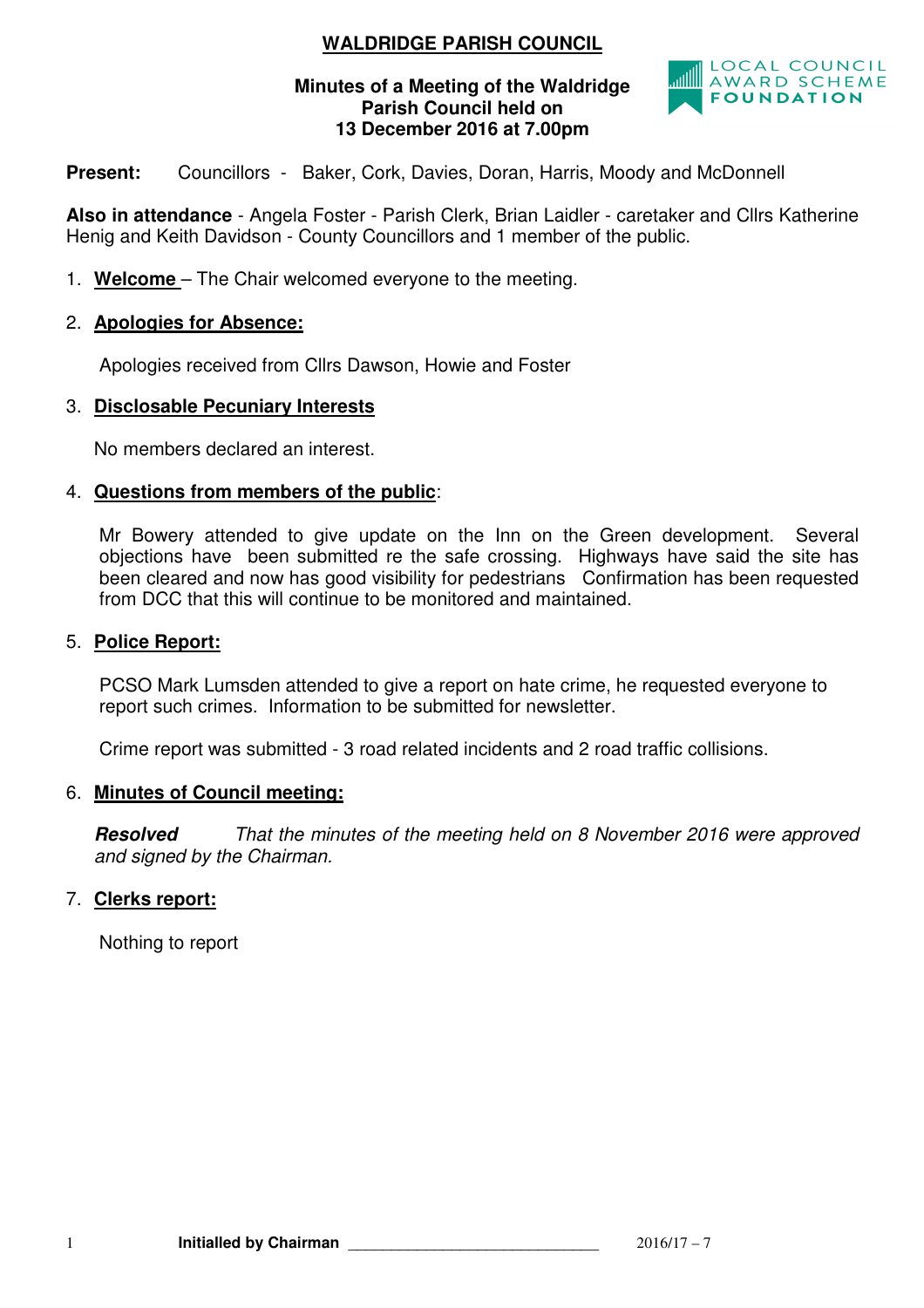# **WALDRIDGE PARISH COUNCIL**

### **Minutes of a Meeting of the Waldridge Parish Council held on 13 December 2016 at 7.00pm**



**Present:** Councillors - Baker, Cork, Davies, Doran, Harris, Moody and McDonnell

**Also in attendance** - Angela Foster - Parish Clerk, Brian Laidler - caretaker and Cllrs Katherine Henig and Keith Davidson - County Councillors and 1 member of the public.

1. **Welcome** – The Chair welcomed everyone to the meeting.

## 2. **Apologies for Absence:**

Apologies received from Cllrs Dawson, Howie and Foster

## 3. **Disclosable Pecuniary Interests**

No members declared an interest.

### 4. **Questions from members of the public**:

Mr Bowery attended to give update on the Inn on the Green development. Several objections have been submitted re the safe crossing. Highways have said the site has been cleared and now has good visibility for pedestrians Confirmation has been requested from DCC that this will continue to be monitored and maintained.

### 5. **Police Report:**

PCSO Mark Lumsden attended to give a report on hate crime, he requested everyone to report such crimes. Information to be submitted for newsletter.

Crime report was submitted - 3 road related incidents and 2 road traffic collisions.

### 6. **Minutes of Council meeting:**

**Resolved** That the minutes of the meeting held on 8 November 2016 were approved and signed by the Chairman.

### 7. **Clerks report:**

Nothing to report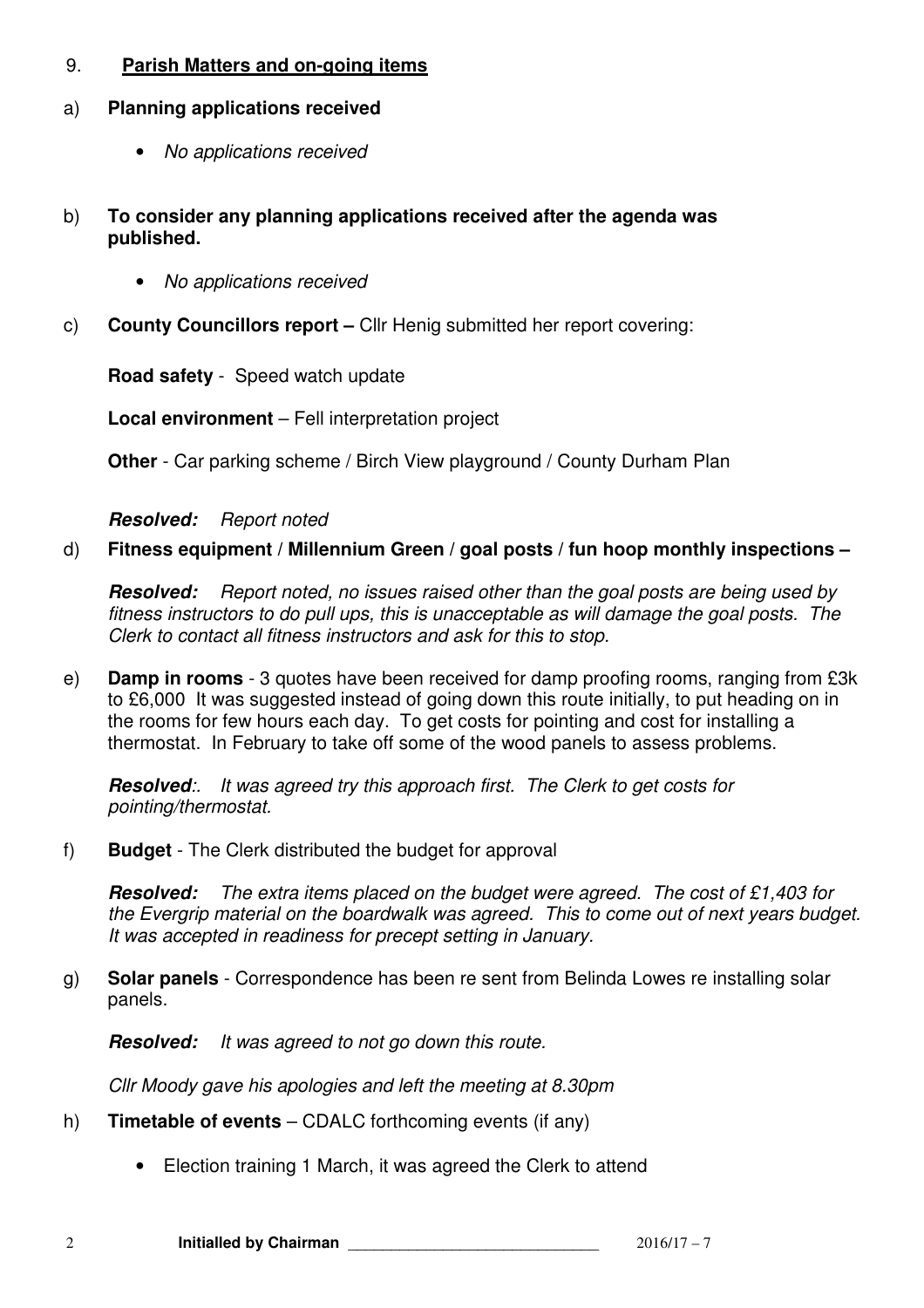# 9. **Parish Matters and on-going items**

### a) **Planning applications received**

- No applications received
- b) **To consider any planning applications received after the agenda was published.** 
	- No applications received
- c) **County Councillors report** Cllr Henig submitted her report covering:

**Road safety** - Speed watch update

**Local environment** – Fell interpretation project

**Other** - Car parking scheme / Birch View playground / County Durham Plan

**Resolved:** Report noted

## d) **Fitness equipment / Millennium Green / goal posts / fun hoop monthly inspections –**

**Resolved:** Report noted, no issues raised other than the goal posts are being used by fitness instructors to do pull ups, this is unacceptable as will damage the goal posts. The Clerk to contact all fitness instructors and ask for this to stop.

e) **Damp in rooms** - 3 quotes have been received for damp proofing rooms, ranging from £3k to £6,000 It was suggested instead of going down this route initially, to put heading on in the rooms for few hours each day. To get costs for pointing and cost for installing a thermostat. In February to take off some of the wood panels to assess problems.

**Resolved**:. It was agreed try this approach first. The Clerk to get costs for pointing/thermostat.

f) **Budget** - The Clerk distributed the budget for approval

**Resolved:** The extra items placed on the budget were agreed. The cost of £1,403 for the Evergrip material on the boardwalk was agreed. This to come out of next years budget. It was accepted in readiness for precept setting in January.

g) **Solar panels** - Correspondence has been re sent from Belinda Lowes re installing solar panels.

**Resolved:** It was agreed to not go down this route.

Cllr Moody gave his apologies and left the meeting at 8.30pm

- h) **Timetable of events** CDALC forthcoming events (if any)
	- Election training 1 March, it was agreed the Clerk to attend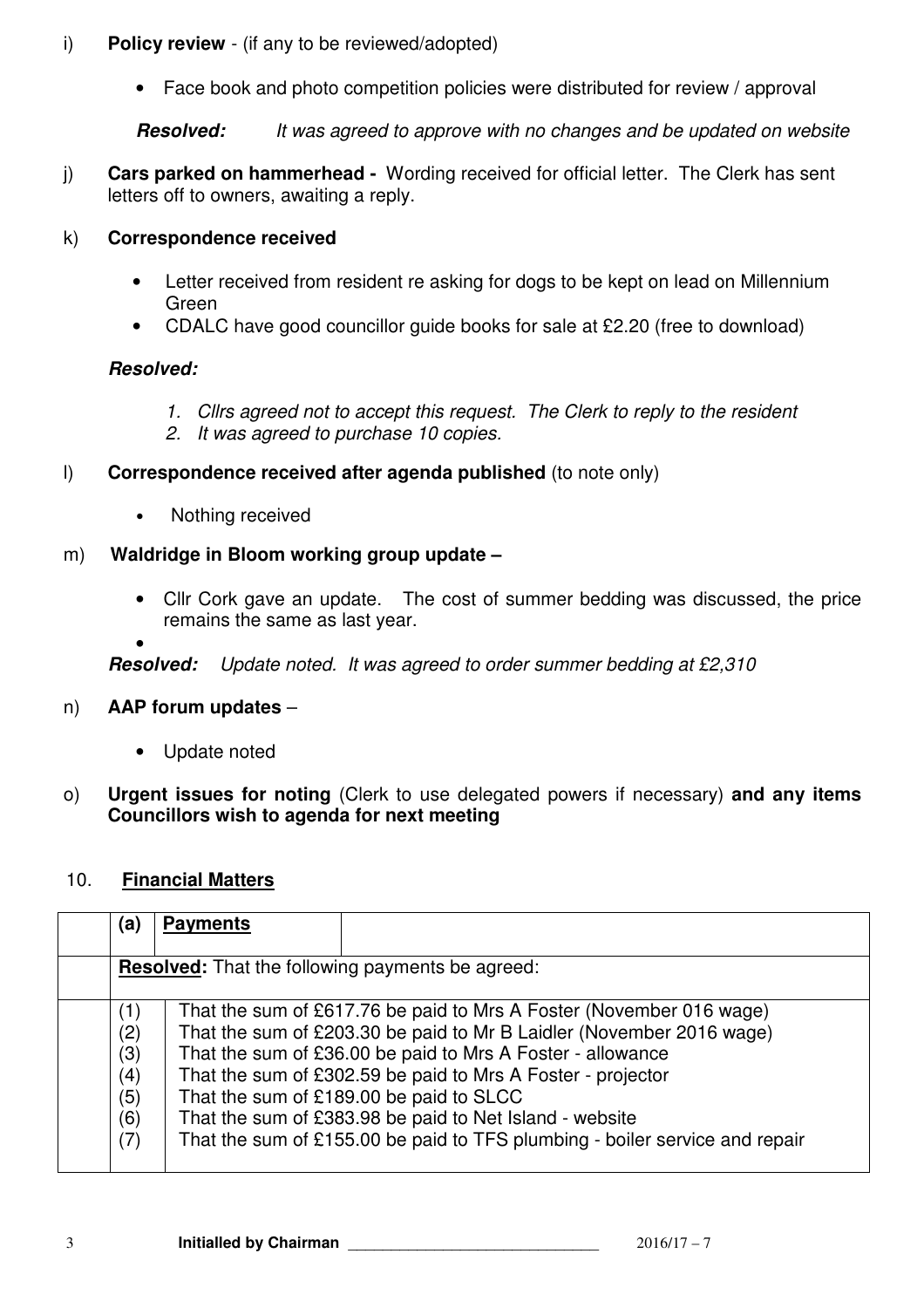# i) **Policy review** - (if any to be reviewed/adopted)

• Face book and photo competition policies were distributed for review / approval

**Resolved:** It was agreed to approve with no changes and be updated on website

j) **Cars parked on hammerhead -** Wording received for official letter. The Clerk has sent letters off to owners, awaiting a reply.

# k) **Correspondence received**

- Letter received from resident re asking for dogs to be kept on lead on Millennium Green
- CDALC have good councillor guide books for sale at £2.20 (free to download)

# **Resolved:**

- 1. Cllrs agreed not to accept this request. The Clerk to reply to the resident
- 2. It was agreed to purchase 10 copies.
- l) **Correspondence received after agenda published** (to note only)
	- Nothing received

# m) **Waldridge in Bloom working group update –**

• Cllr Cork gave an update. The cost of summer bedding was discussed, the price remains the same as last year.

•

**Resolved:** Update noted. It was agreed to order summer bedding at £2,310

# n) **AAP forum updates** –

- Update noted
- o) **Urgent issues for noting** (Clerk to use delegated powers if necessary) **and any items Councillors wish to agenda for next meeting**

# 10. **Financial Matters**

| (a)                                           | <b>Payments</b>                                                                                                                                                                                                                                                                                                                                                                                                                                               |  |  |
|-----------------------------------------------|---------------------------------------------------------------------------------------------------------------------------------------------------------------------------------------------------------------------------------------------------------------------------------------------------------------------------------------------------------------------------------------------------------------------------------------------------------------|--|--|
|                                               | <b>Resolved:</b> That the following payments be agreed:                                                                                                                                                                                                                                                                                                                                                                                                       |  |  |
| (1)<br>(2)<br>(3)<br>(4)<br>(5)<br>(6)<br>(7) | That the sum of £617.76 be paid to Mrs A Foster (November 016 wage)<br>That the sum of £203.30 be paid to Mr B Laidler (November 2016 wage)<br>That the sum of £36.00 be paid to Mrs A Foster - allowance<br>That the sum of £302.59 be paid to Mrs A Foster - projector<br>That the sum of £189.00 be paid to SLCC<br>That the sum of £383.98 be paid to Net Island - website<br>That the sum of £155.00 be paid to TFS plumbing - boiler service and repair |  |  |